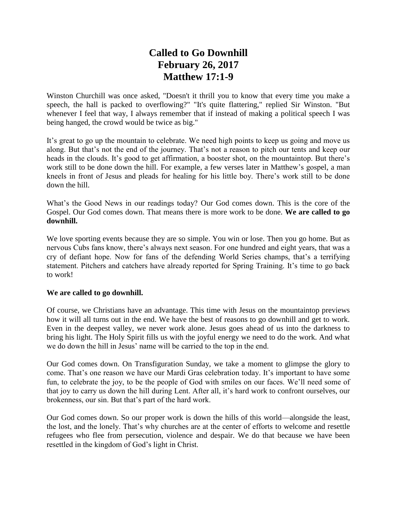## **Called to Go Downhill February 26, 2017 Matthew 17:1-9**

Winston Churchill was once asked, "Doesn't it thrill you to know that every time you make a speech, the hall is packed to overflowing?" "It's quite flattering," replied Sir Winston. "But whenever I feel that way, I always remember that if instead of making a political speech I was being hanged, the crowd would be twice as big."

It's great to go up the mountain to celebrate. We need high points to keep us going and move us along. But that's not the end of the journey. That's not a reason to pitch our tents and keep our heads in the clouds. It's good to get affirmation, a booster shot, on the mountaintop. But there's work still to be done down the hill. For example, a few verses later in Matthew's gospel, a man kneels in front of Jesus and pleads for healing for his little boy. There's work still to be done down the hill.

What's the Good News in our readings today? Our God comes down. This is the core of the Gospel. Our God comes down. That means there is more work to be done. **We are called to go downhill.**

We love sporting events because they are so simple. You win or lose. Then you go home. But as nervous Cubs fans know, there's always next season. For one hundred and eight years, that was a cry of defiant hope. Now for fans of the defending World Series champs, that's a terrifying statement. Pitchers and catchers have already reported for Spring Training. It's time to go back to work!

## **We are called to go downhill.**

Of course, we Christians have an advantage. This time with Jesus on the mountaintop previews how it will all turns out in the end. We have the best of reasons to go downhill and get to work. Even in the deepest valley, we never work alone. Jesus goes ahead of us into the darkness to bring his light. The Holy Spirit fills us with the joyful energy we need to do the work. And what we do down the hill in Jesus' name will be carried to the top in the end.

Our God comes down. On Transfiguration Sunday, we take a moment to glimpse the glory to come. That's one reason we have our Mardi Gras celebration today. It's important to have some fun, to celebrate the joy, to be the people of God with smiles on our faces. We'll need some of that joy to carry us down the hill during Lent. After all, it's hard work to confront ourselves, our brokenness, our sin. But that's part of the hard work.

Our God comes down. So our proper work is down the hills of this world—alongside the least, the lost, and the lonely. That's why churches are at the center of efforts to welcome and resettle refugees who flee from persecution, violence and despair. We do that because we have been resettled in the kingdom of God's light in Christ.